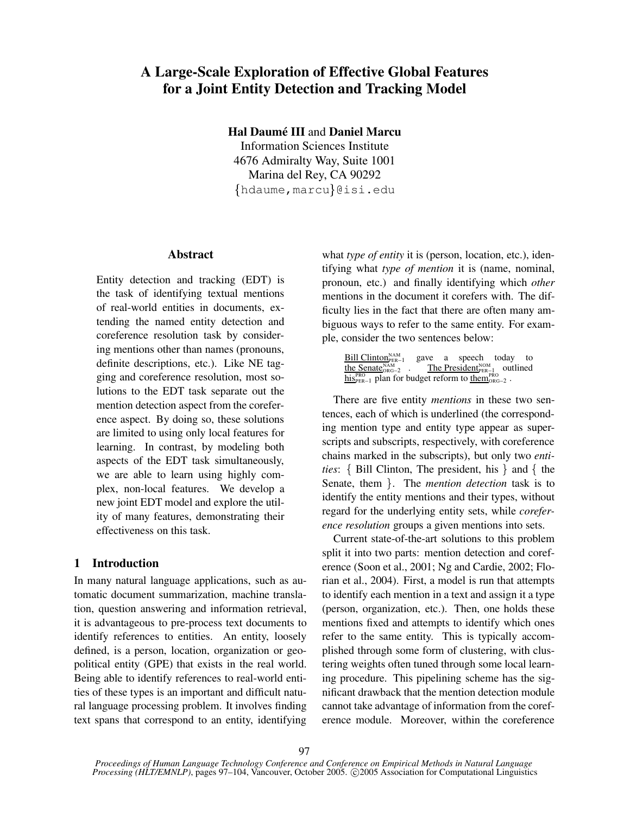# **A Large-Scale Exploration of Effective Global Features for a Joint Entity Detection and Tracking Model**

## **Hal Daume´ III** and **Daniel Marcu**

Information Sciences Institute 4676 Admiralty Way, Suite 1001 Marina del Rey, CA 90292  $\{\texttt{hdaume,marcu}\}$ @isi.edu

### **Abstract**

Entity detection and tracking (EDT) is the task of identifying textual mentions of real-world entities in documents, extending the named entity detection and coreference resolution task by considering mentions other than names (pronouns, definite descriptions, etc.). Like NE tagging and coreference resolution, most solutions to the EDT task separate out the mention detection aspect from the coreference aspect. By doing so, these solutions are limited to using only local features for learning. In contrast, by modeling both aspects of the EDT task simultaneously, we are able to learn using highly complex, non-local features. We develop a new joint EDT model and explore the utility of many features, demonstrating their effectiveness on this task.

# **1 Introduction**

In many natural language applications, such as automatic document summarization, machine translation, question answering and information retrieval, it is advantageous to pre-process text documents to identify references to entities. An entity, loosely defined, is a person, location, organization or geopolitical entity (GPE) that exists in the real world. Being able to identify references to real-world entities of these types is an important and difficult natural language processing problem. It involves finding text spans that correspond to an entity, identifying what *type of entity* it is (person, location, etc.), identifying what *type of mention* it is (name, nominal, pronoun, etc.) and finally identifying which *other* mentions in the document it corefers with. The difficulty lies in the fact that there are often many ambiguous ways to refer to the same entity. For example, consider the two sentences below:

 $\underline{Bill Clinton}^{\text{NAM}}_{\text{PER-1}}$  gave a speech today to the Senate<sup>NAM</sup>  $\sum_{\text{ORG}-2}$  The President<sup>NOM</sup><sub>PER-1</sub> outlined  $\underline{\text{his}}_{\text{PER-1}}^{\text{PRO}}$  plan for budget reform to  $\underline{\text{them}}_{\text{ORG-2}}^{\text{PRO}}$ .

There are five entity *mentions* in these two sentences, each of which is underlined (the corresponding mention type and entity type appear as superscripts and subscripts, respectively, with coreference chains marked in the subscripts), but only two *entities*: { Bill Clinton, The president, his } and { the Senate, them  $\}$ . The *mention detection* task is to identify the entity mentions and their types, without regard for the underlying entity sets, while *coreference resolution* groups a given mentions into sets.

Current state-of-the-art solutions to this problem split it into two parts: mention detection and coreference (Soon et al., 2001; Ng and Cardie, 2002; Florian et al., 2004). First, a model is run that attempts to identify each mention in a text and assign it a type (person, organization, etc.). Then, one holds these mentions fixed and attempts to identify which ones refer to the same entity. This is typically accomplished through some form of clustering, with clustering weights often tuned through some local learning procedure. This pipelining scheme has the significant drawback that the mention detection module cannot take advantage of information from the coreference module. Moreover, within the coreference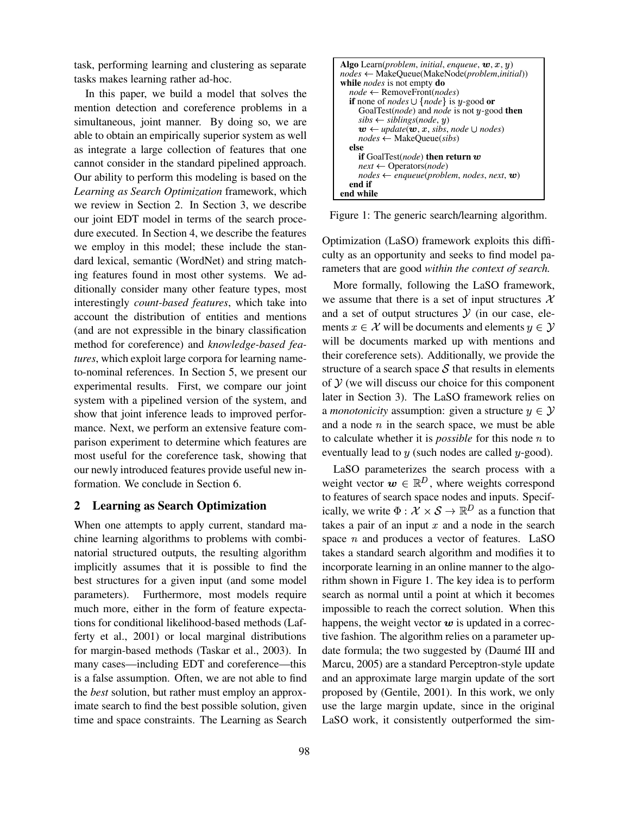task, performing learning and clustering as separate tasks makes learning rather ad-hoc.

In this paper, we build a model that solves the mention detection and coreference problems in a simultaneous, joint manner. By doing so, we are able to obtain an empirically superior system as well as integrate a large collection of features that one cannot consider in the standard pipelined approach. Our ability to perform this modeling is based on the *Learning as Search Optimization* framework, which we review in Section 2. In Section 3, we describe our joint EDT model in terms of the search procedure executed. In Section 4, we describe the features we employ in this model; these include the standard lexical, semantic (WordNet) and string matching features found in most other systems. We additionally consider many other feature types, most interestingly *count-based features*, which take into account the distribution of entities and mentions (and are not expressible in the binary classification method for coreference) and *knowledge-based features*, which exploit large corpora for learning nameto-nominal references. In Section 5, we present our experimental results. First, we compare our joint system with a pipelined version of the system, and show that joint inference leads to improved performance. Next, we perform an extensive feature comparison experiment to determine which features are most useful for the coreference task, showing that our newly introduced features provide useful new information. We conclude in Section 6.

### **2 Learning as Search Optimization**

When one attempts to apply current, standard machine learning algorithms to problems with combinatorial structured outputs, the resulting algorithm implicitly assumes that it is possible to find the best structures for a given input (and some model parameters). Furthermore, most models require much more, either in the form of feature expectations for conditional likelihood-based methods (Lafferty et al., 2001) or local marginal distributions for margin-based methods (Taskar et al., 2003). In many cases—including EDT and coreference—this is a false assumption. Often, we are not able to find the *best* solution, but rather must employ an approximate search to find the best possible solution, given time and space constraints. The Learning as Search

| <b>Algo</b> Learn( <i>problem, initial, enqueue, <math>w, x, y</math></i> )<br>$nodes \leftarrow MakeQueue(MakeNode(problem, initial))$ |
|-----------------------------------------------------------------------------------------------------------------------------------------|
| while <i>nodes</i> is not empty <b>do</b>                                                                                               |
|                                                                                                                                         |
| $node \leftarrow$ RemoveFront( <i>nodes</i> )                                                                                           |
| <b>if</b> none of <i>nodes</i> $\cup$ { <i>node</i> } is y-good <b>or</b>                                                               |
| GoalTest( <i>node</i> ) and <i>node</i> is not y-good <b>then</b>                                                                       |
| $sibs \leftarrow sibling(node, y)$                                                                                                      |
| $\mathbf{w} \leftarrow \text{update}(\mathbf{w}, x, \text{sibs}, \text{node} \cup \text{nodes})$                                        |
| $nodes \leftarrow MakeQueue(sibs)$                                                                                                      |
| else                                                                                                                                    |
| <b>if</b> GoalTest( <i>node</i> ) <b>then return</b> $w$                                                                                |
| $next \leftarrow$ Operators( <i>node</i> )                                                                                              |
| nodes $\leftarrow$ enqueue(problem, nodes, next, <b>w</b> )                                                                             |
| end if                                                                                                                                  |
| end while                                                                                                                               |

Figure 1: The generic search/learning algorithm.

Optimization (LaSO) framework exploits this difficulty as an opportunity and seeks to find model parameters that are good *within the context of search.*

More formally, following the LaSO framework, we assume that there is a set of input structures  $\mathcal{X}$ and a set of output structures  $\mathcal Y$  (in our case, elements  $x \in \mathcal{X}$  will be documents and elements  $y \in \mathcal{Y}$ will be documents marked up with mentions and their coreference sets). Additionally, we provide the structure of a search space  $S$  that results in elements of  $\mathcal Y$  (we will discuss our choice for this component later in Section 3). The LaSO framework relies on a *monotonicity* assumption: given a structure  $y \in \mathcal{Y}$ and a node  $n$  in the search space, we must be able to calculate whether it is *possible* for this node  $n$  to eventually lead to  $y$  (such nodes are called  $y$ -good).

LaSO parameterizes the search process with a weight vector  $\mathbf{w} \in \mathbb{R}^D$ , where weights correspond to features of search space nodes and inputs. Specifically, we write  $\Phi : \mathcal{X} \times \mathcal{S} \to \mathbb{R}^D$  as a function that takes a pair of an input  $x$  and a node in the search space  $n$  and produces a vector of features. LaSO takes a standard search algorithm and modifies it to incorporate learning in an online manner to the algorithm shown in Figure 1. The key idea is to perform search as normal until a point at which it becomes impossible to reach the correct solution. When this happens, the weight vector  $w$  is updated in a corrective fashion. The algorithm relies on a parameter update formula; the two suggested by (Daumé III and Marcu, 2005) are a standard Perceptron-style update and an approximate large margin update of the sort proposed by (Gentile, 2001). In this work, we only use the large margin update, since in the original LaSO work, it consistently outperformed the sim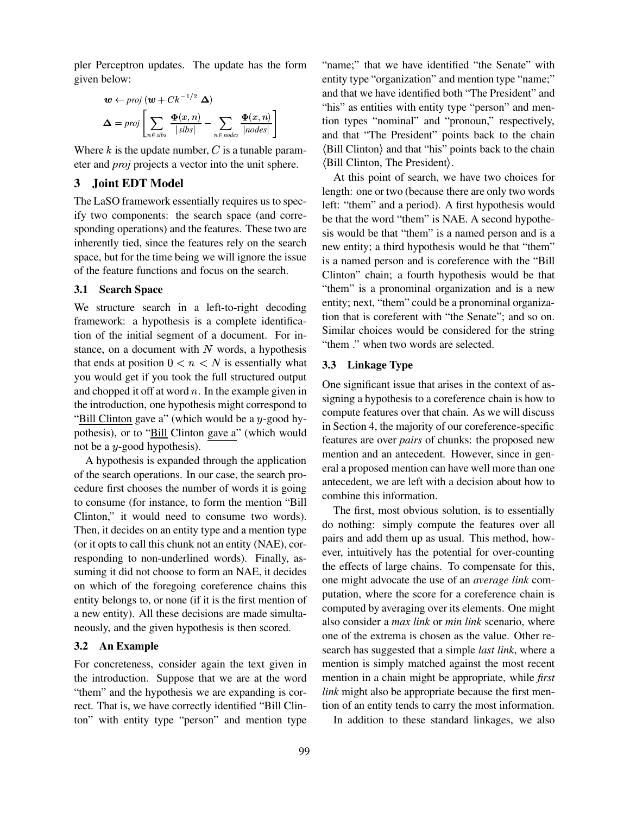pler Perceptron updates. The update has the form given below:

$$
\mathbf{w} \leftarrow \text{proj} \left( \mathbf{w} + C k^{-1/2} \, \Delta \right) \tag{2.13}
$$
\n
$$
\Delta = \text{proj} \left[ \sum_{n \in \text{sibs}} \frac{\Phi(x, n)}{|\text{sibs}|} - \sum_{n \in \text{nodes}} \frac{\Phi(x, n)}{|\text{nodes}|} \right] \tag{2.24}
$$

Where  $k$  is the update number,  $C$  is a tunable parameter and *proj* projects a vector into the unit sphere.

# **3 Joint EDT Model**

The LaSO framework essentially requires us to specify two components: the search space (and corresponding operations) and the features. These two are inherently tied, since the features rely on the search space, but for the time being we will ignore the issue of the feature functions and focus on the search.

#### **3.1 Search Space**

We structure search in a left-to-right decoding framework: a hypothesis is a complete identification of the initial segment of a document. For instance, on a document with  $N$  words, a hypothesis that ends at position  $0 < n < N$  is essentially what you would get if you took the full structured output and chopped it off at word  $n$ . In the example given in the introduction, one hypothesis might correspond to "Bill Clinton gave a" (which would be a  $y$ -good hypothesis), or to "Bill Clinton gave a" (which would not be a  $y$ -good hypothesis).

A hypothesis is expanded through the application of the search operations. In our case, the search procedure first chooses the number of words it is going to consume (for instance, to form the mention "Bill Clinton," it would need to consume two words). Then, it decides on an entity type and a mention type (or it opts to call this chunk not an entity (NAE), corresponding to non-underlined words). Finally, assuming it did not choose to form an NAE, it decides on which of the foregoing coreference chains this entity belongs to, or none (if it is the first mention of a new entity). All these decisions are made simultaneously, and the given hypothesis is then scored.

### **3.2 An Example**

For concreteness, consider again the text given in the introduction. Suppose that we are at the word "them" and the hypothesis we are expanding is correct. That is, we have correctly identified "Bill Clinton" with entity type "person" and mention type "name;" that we have identified "the Senate" with entity type "organization" and mention type "name;" and that we have identified both "The President" and "his" as entities with entity type "person" and mention types "nominal" and "pronoun," respectively, and that "The President" points back to the chain (Bill Clinton) and that "his" points back to the chain  $\langle$ Bill Clinton, The President $\rangle$ .

At this point of search, we have two choices for length: one or two (because there are only two words left: "them" and a period). A first hypothesis would be that the word "them" is NAE. A second hypothesis would be that "them" is a named person and is a new entity; a third hypothesis would be that "them" is a named person and is coreference with the "Bill Clinton" chain; a fourth hypothesis would be that "them" is a pronominal organization and is a new entity; next, "them" could be a pronominal organization that is coreferent with "the Senate"; and so on. Similar choices would be considered for the string "them ." when two words are selected.

#### **3.3 Linkage Type**

One significant issue that arises in the context of assigning a hypothesis to a coreference chain is how to compute features over that chain. As we will discuss in Section 4, the majority of our coreference-specific features are over *pairs* of chunks: the proposed new mention and an antecedent. However, since in general a proposed mention can have well more than one antecedent, we are left with a decision about how to combine this information.

The first, most obvious solution, is to essentially do nothing: simply compute the features over all pairs and add them up as usual. This method, however, intuitively has the potential for over-counting the effects of large chains. To compensate for this, one might advocate the use of an *average link* computation, where the score for a coreference chain is computed by averaging over its elements. One might also consider a *max link* or *min link* scenario, where one of the extrema is chosen as the value. Other research has suggested that a simple *last link*, where a mention is simply matched against the most recent mention in a chain might be appropriate, while *first link* might also be appropriate because the first mention of an entity tends to carry the most information.

In addition to these standard linkages, we also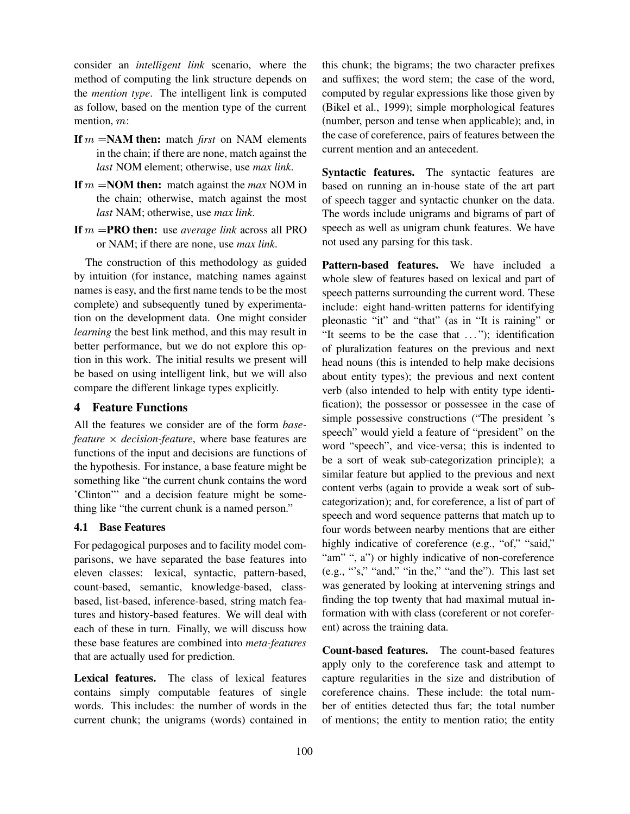consider an *intelligent link* scenario, where the method of computing the link structure depends on the *mention type*. The intelligent link is computed as follow, based on the mention type of the current mention,  $m$ :

- **If**  $m = NAM$  then: match *first* on NAM elements in the chain; if there are none, match against the *last* NOM element; otherwise, use *max link*.
- **If**  $m = NOM$  **then:** match against the *max* NOM in the chain; otherwise, match against the most *last* NAM; otherwise, use *max link*.
- **If**  $m = \textbf{PRO}$  **then:** use *average link* across all PRO or NAM; if there are none, use *max link*.

The construction of this methodology as guided by intuition (for instance, matching names against names is easy, and the first name tends to be the most complete) and subsequently tuned by experimentation on the development data. One might consider *learning* the best link method, and this may result in better performance, but we do not explore this option in this work. The initial results we present will be based on using intelligent link, but we will also compare the different linkage types explicitly.

## **4 Feature Functions**

All the features we consider are of the form *basefeature*  $\times$  *decision-feature*, where base features are functions of the input and decisions are functions of the hypothesis. For instance, a base feature might be something like "the current chunk contains the word 'Clinton"' and a decision feature might be something like "the current chunk is a named person."

# **4.1 Base Features**

For pedagogical purposes and to facility model comparisons, we have separated the base features into eleven classes: lexical, syntactic, pattern-based, count-based, semantic, knowledge-based, classbased, list-based, inference-based, string match features and history-based features. We will deal with each of these in turn. Finally, we will discuss how these base features are combined into *meta-features* that are actually used for prediction.

**Lexical features.** The class of lexical features contains simply computable features of single words. This includes: the number of words in the current chunk; the unigrams (words) contained in this chunk; the bigrams; the two character prefixes and suffixes; the word stem; the case of the word, computed by regular expressions like those given by (Bikel et al., 1999); simple morphological features (number, person and tense when applicable); and, in the case of coreference, pairs of features between the current mention and an antecedent.

**Syntactic features.** The syntactic features are based on running an in-house state of the art part of speech tagger and syntactic chunker on the data. The words include unigrams and bigrams of part of speech as well as unigram chunk features. We have not used any parsing for this task.

**Pattern-based features.** We have included a whole slew of features based on lexical and part of speech patterns surrounding the current word. These include: eight hand-written patterns for identifying pleonastic "it" and "that" (as in "It is raining" or "It seems to be the case that  $\ldots$ "); identification of pluralization features on the previous and next head nouns (this is intended to help make decisions about entity types); the previous and next content verb (also intended to help with entity type identification); the possessor or possessee in the case of simple possessive constructions ("The president 's speech" would yield a feature of "president" on the word "speech", and vice-versa; this is indented to be a sort of weak sub-categorization principle); a similar feature but applied to the previous and next content verbs (again to provide a weak sort of subcategorization); and, for coreference, a list of part of speech and word sequence patterns that match up to four words between nearby mentions that are either highly indicative of coreference (e.g., "of," "said," "am" ", a") or highly indicative of non-coreference (e.g., "s," "and," "in the," "and the"). This last set was generated by looking at intervening strings and finding the top twenty that had maximal mutual information with with class (coreferent or not coreferent) across the training data.

**Count-based features.** The count-based features apply only to the coreference task and attempt to capture regularities in the size and distribution of coreference chains. These include: the total number of entities detected thus far; the total number of mentions; the entity to mention ratio; the entity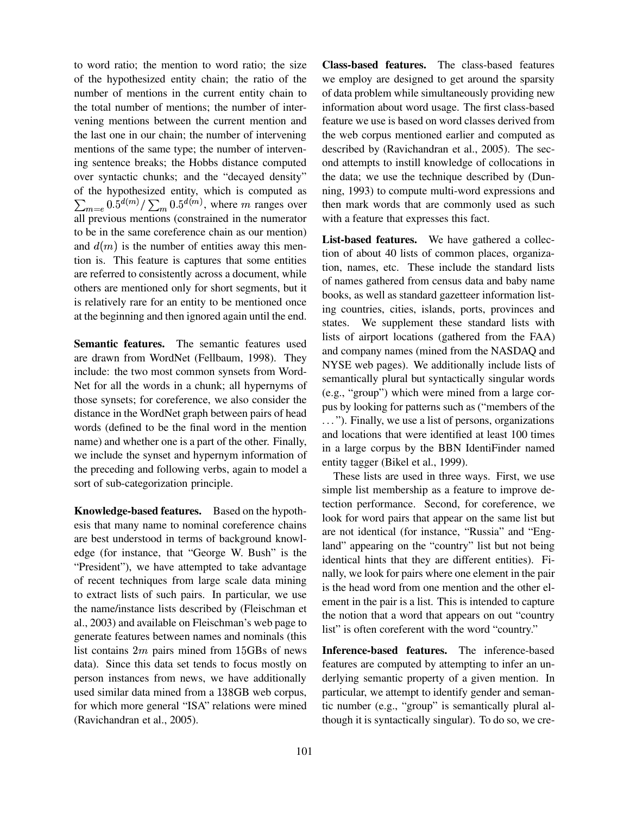to word ratio; the mention to word ratio; the size of the hypothesized entity chain; the ratio of the number of mentions in the current entity chain to the total number of mentions; the number of intervening mentions between the current mention and the last one in our chain; the number of intervening mentions of the same type; the number of intervening sentence breaks; the Hobbs distance computed over syntactic chunks; and the "decayed density" of the hypothesized entity, which is computed as  $\sum_{m=e} 0.5^{d(m)}/\sum_m 0.5^{d(m)}$ , where m ranges over the all previous mentions (constrained in the numerator to be in the same coreference chain as our mention) and  $d(m)$  is the number of entities away this mention is. This feature is captures that some entities are referred to consistently across a document, while others are mentioned only for short segments, but it is relatively rare for an entity to be mentioned once at the beginning and then ignored again until the end.

**Semantic features.** The semantic features used are drawn from WordNet (Fellbaum, 1998). They include: the two most common synsets from Word-Net for all the words in a chunk; all hypernyms of those synsets; for coreference, we also consider the distance in the WordNet graph between pairs of head words (defined to be the final word in the mention name) and whether one is a part of the other. Finally, we include the synset and hypernym information of the preceding and following verbs, again to model a sort of sub-categorization principle.

**Knowledge-based features.** Based on the hypothesis that many name to nominal coreference chains are best understood in terms of background knowledge (for instance, that "George W. Bush" is the "President"), we have attempted to take advantage of recent techniques from large scale data mining to extract lists of such pairs. In particular, we use the name/instance lists described by (Fleischman et al., 2003) and available on Fleischman's web page to generate features between names and nominals (this list contains  $2m$  pairs mined from 15GBs of news data). Since this data set tends to focus mostly on person instances from news, we have additionally used similar data mined from a 138GB web corpus, for which more general "ISA" relations were mined (Ravichandran et al., 2005).

**Class-based features.** The class-based features we employ are designed to get around the sparsity of data problem while simultaneously providing new information about word usage. The first class-based feature we use is based on word classes derived from the web corpus mentioned earlier and computed as described by (Ravichandran et al., 2005). The second attempts to instill knowledge of collocations in the data; we use the technique described by (Dunning, 1993) to compute multi-word expressions and then mark words that are commonly used as such with a feature that expresses this fact.

**List-based features.** We have gathered a collection of about 40 lists of common places, organization, names, etc. These include the standard lists of names gathered from census data and baby name books, as well as standard gazetteer information listing countries, cities, islands, ports, provinces and states. We supplement these standard lists with lists of airport locations (gathered from the FAA) and company names (mined from the NASDAQ and NYSE web pages). We additionally include lists of semantically plural but syntactically singular words (e.g., "group") which were mined from a large corpus by looking for patterns such as ("members of the . . . "). Finally, we use a list of persons, organizations and locations that were identified at least 100 times in a large corpus by the BBN IdentiFinder named entity tagger (Bikel et al., 1999).

These lists are used in three ways. First, we use simple list membership as a feature to improve detection performance. Second, for coreference, we look for word pairs that appear on the same list but are not identical (for instance, "Russia" and "England" appearing on the "country" list but not being identical hints that they are different entities). Finally, we look for pairs where one element in the pair is the head word from one mention and the other element in the pair is a list. This is intended to capture the notion that a word that appears on out "country list" is often coreferent with the word "country."

**Inference-based features.** The inference-based features are computed by attempting to infer an underlying semantic property of a given mention. In particular, we attempt to identify gender and semantic number (e.g., "group" is semantically plural although it is syntactically singular). To do so, we cre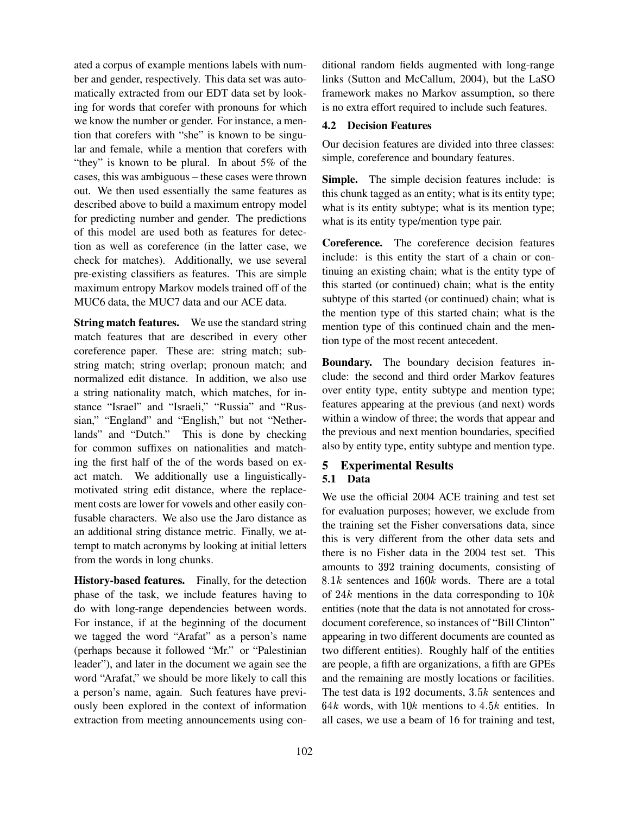ated a corpus of example mentions labels with number and gender, respectively. This data set was automatically extracted from our EDT data set by looking for words that corefer with pronouns for which we know the number or gender. For instance, a mention that corefers with "she" is known to be singular and female, while a mention that corefers with "they" is known to be plural. In about 5% of the cases, this was ambiguous – these cases were thrown out. We then used essentially the same features as described above to build a maximum entropy model for predicting number and gender. The predictions of this model are used both as features for detection as well as coreference (in the latter case, we check for matches). Additionally, we use several pre-existing classifiers as features. This are simple maximum entropy Markov models trained off of the MUC6 data, the MUC7 data and our ACE data.

**String match features.** We use the standard string match features that are described in every other coreference paper. These are: string match; substring match; string overlap; pronoun match; and normalized edit distance. In addition, we also use a string nationality match, which matches, for instance "Israel" and "Israeli," "Russia" and "Russian," "England" and "English," but not "Netherlands" and "Dutch." This is done by checking for common suffixes on nationalities and matching the first half of the of the words based on exact match. We additionally use a linguisticallymotivated string edit distance, where the replacement costs are lower for vowels and other easily confusable characters. We also use the Jaro distance as an additional string distance metric. Finally, we attempt to match acronyms by looking at initial letters from the words in long chunks.

**History-based features.** Finally, for the detection phase of the task, we include features having to do with long-range dependencies between words. For instance, if at the beginning of the document we tagged the word "Arafat" as a person's name (perhaps because it followed "Mr." or "Palestinian leader"), and later in the document we again see the word "Arafat," we should be more likely to call this a person's name, again. Such features have previously been explored in the context of information extraction from meeting announcements using conditional random fields augmented with long-range links (Sutton and McCallum, 2004), but the LaSO framework makes no Markov assumption, so there is no extra effort required to include such features.

### **4.2 Decision Features**

Our decision features are divided into three classes: simple, coreference and boundary features.

**Simple.** The simple decision features include: is this chunk tagged as an entity; what is its entity type; what is its entity subtype; what is its mention type; what is its entity type/mention type pair.

**Coreference.** The coreference decision features include: is this entity the start of a chain or continuing an existing chain; what is the entity type of this started (or continued) chain; what is the entity subtype of this started (or continued) chain; what is the mention type of this started chain; what is the mention type of this continued chain and the mention type of the most recent antecedent.

**Boundary.** The boundary decision features include: the second and third order Markov features over entity type, entity subtype and mention type; features appearing at the previous (and next) words within a window of three; the words that appear and the previous and next mention boundaries, specified also by entity type, entity subtype and mention type.

# **5 Experimental Results 5.1 Data**

We use the official 2004 ACE training and test set for evaluation purposes; however, we exclude from the training set the Fisher conversations data, since this is very different from the other data sets and there is no Fisher data in the 2004 test set. This amounts to 392 training documents, consisting of  $8.1k$  sentences and  $160k$  words. There are a total of 24k mentions in the data corresponding to  $10k$ entities (note that the data is not annotated for crossdocument coreference, so instances of "Bill Clinton" appearing in two different documents are counted as two different entities). Roughly half of the entities are people, a fifth are organizations, a fifth are GPEs and the remaining are mostly locations or facilities. The test data is 192 documents,  $3.5k$  sentences and  $64k$  words, with  $10k$  mentions to  $4.5k$  entities. In all cases, we use a beam of 16 for training and test,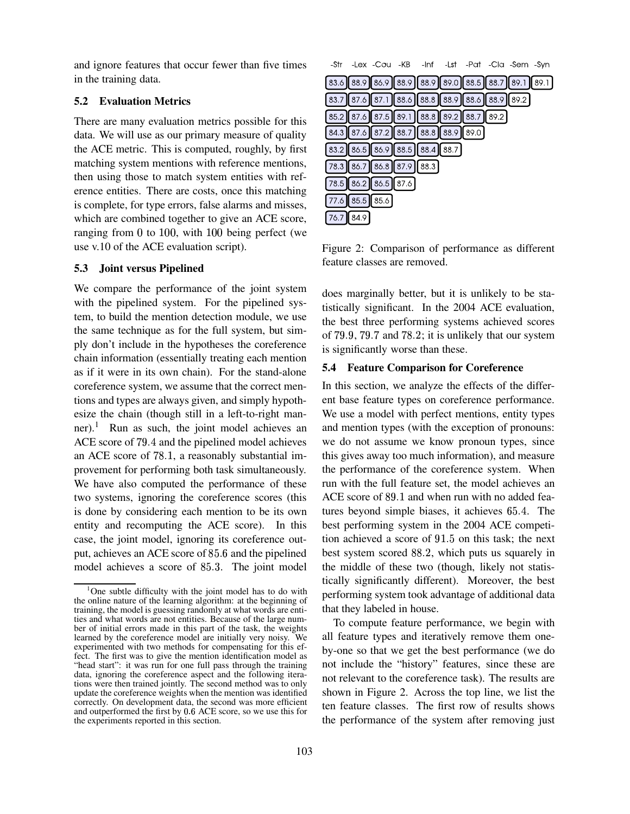and ignore features that occur fewer than five times in the training data.

#### **5.2 Evaluation Metrics**

There are many evaluation metrics possible for this data. We will use as our primary measure of quality the ACE metric. This is computed, roughly, by first matching system mentions with reference mentions, then using those to match system entities with reference entities. There are costs, once this matching is complete, for type errors, false alarms and misses, which are combined together to give an ACE score, ranging from 0 to 100, with 100 being perfect (we use v.10 of the ACE evaluation script).

#### **5.3 Joint versus Pipelined**

We compare the performance of the joint system with the pipelined system. For the pipelined system, to build the mention detection module, we use the same technique as for the full system, but simply don't include in the hypotheses the coreference chain information (essentially treating each mention as if it were in its own chain). For the stand-alone coreference system, we assume that the correct mentions and types are always given, and simply hypothesize the chain (though still in a left-to-right manner).<sup>1</sup> Run as such, the joint model achieves an ACE score of  $79.4$  and the pipelined model achieves an ACE score of  $78.1$ , a reasonably substantial improvement for performing both task simultaneously. We have also computed the performance of these two systems, ignoring the coreference scores (this is done by considering each mention to be its own entity and recomputing the ACE score). In this case, the joint model, ignoring its coreference output, achieves an ACE score of 85.6 and the pipelined model achieves a score of 85.3. The joint model

|  |  | -Str -Lex -Cou -KB -Inf -Lst -Pat -Cla -Sem -Syn |  |  |  |  |  |  |  |
|--|--|--------------------------------------------------|--|--|--|--|--|--|--|
|--|--|--------------------------------------------------|--|--|--|--|--|--|--|

|      |           |                     |                                                                                           |           | 83.6 88.9 86.9 88.9 88.9 88.9 89.0 88.5 88.7 89.1 89.1                                                           |  |
|------|-----------|---------------------|-------------------------------------------------------------------------------------------|-----------|------------------------------------------------------------------------------------------------------------------|--|
|      |           |                     |                                                                                           |           | 83.7 $\left[ 87.6 \right]$ 87.1 $\left[ 88.6 \right]$ 88.8 $\left[ 88.9 \right]$ 88.6 $\left[ 88.9 \right]$ 89.2 |  |
| 85.2 |           |                     | $87.6$ $87.5$ $89.1$ $88.8$                                                               | 89.2 88.7 | $\parallel$ 89.2                                                                                                 |  |
|      |           |                     | $84.3$ 87.6 87.2 88.7 $\left[ \frac{84.3}{87.0} \right]$                                  |           |                                                                                                                  |  |
|      |           |                     | 83.2 $\parallel$ 86.5 $\parallel$ 86.9 $\parallel$ 88.5 $\parallel$ 88.4 $\parallel$ 88.7 |           |                                                                                                                  |  |
|      |           |                     | 78.3 $\left[ 86.7 \right]$ 86.8 $\left[ 87.9 \right]$ 88.3                                |           |                                                                                                                  |  |
|      |           | 78.5 86.2 86.5 87.6 |                                                                                           |           |                                                                                                                  |  |
|      | 77.6 85.5 | 85.6                |                                                                                           |           |                                                                                                                  |  |
| 76.7 | 84.9      |                     |                                                                                           |           |                                                                                                                  |  |

Figure 2: Comparison of performance as different feature classes are removed.

does marginally better, but it is unlikely to be statistically significant. In the 2004 ACE evaluation, the best three performing systems achieved scores of  ${79.9, 79.7}$  and  ${78.2$ ; it is unlikely that our system is significantly worse than these.

#### **5.4 Feature Comparison for Coreference**

In this section, we analyze the effects of the different base feature types on coreference performance. We use a model with perfect mentions, entity types and mention types (with the exception of pronouns: we do not assume we know pronoun types, since this gives away too much information), and measure the performance of the coreference system. When run with the full feature set, the model achieves an ACE score of  $89.1$  and when run with no added features beyond simple biases, it achieves  $65.4$ . The best performing system in the 2004 ACE competition achieved a score of  $91.5$  on this task; the next best system scored 88.2, which puts us squarely in the middle of these two (though, likely not statistically significantly different). Moreover, the best performing system took advantage of additional data that they labeled in house.

To compute feature performance, we begin with all feature types and iteratively remove them oneby-one so that we get the best performance (we do not include the "history" features, since these are not relevant to the coreference task). The results are shown in Figure 2. Across the top line, we list the ten feature classes. The first row of results shows the performance of the system after removing just

<sup>1</sup>One subtle difficulty with the joint model has to do with the online nature of the learning algorithm: at the beginning of training, the model is guessing randomly at what words are entities and what words are not entities. Because of the large number of initial errors made in this part of the task, the weights learned by the coreference model are initially very noisy. We experimented with two methods for compensating for this effect. The first was to give the mention identification model as "head start": it was run for one full pass through the training data, ignoring the coreference aspect and the following iterations were then trained jointly. The second method was to only update the coreference weights when the mention was identified correctly. On development data, the second was more efficient and outperformed the first by  $0.6$  ACE score, so we use this for the experiments reported in this section.